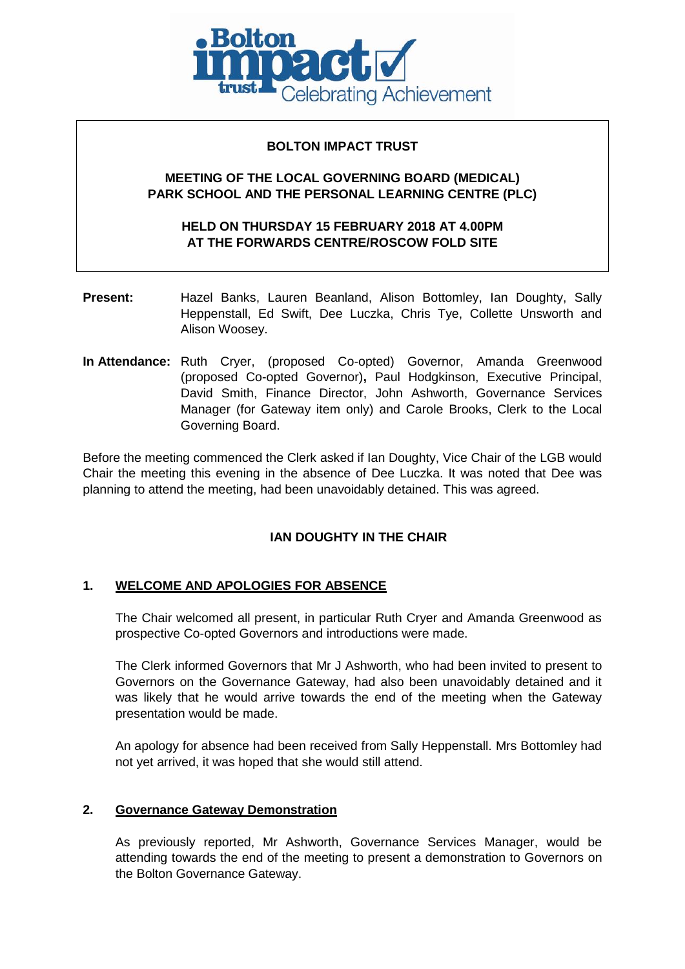

# **BOLTON IMPACT TRUST**

# **MEETING OF THE LOCAL GOVERNING BOARD (MEDICAL) PARK SCHOOL AND THE PERSONAL LEARNING CENTRE (PLC)**

# **HELD ON THURSDAY 15 FEBRUARY 2018 AT 4.00PM AT THE FORWARDS CENTRE/ROSCOW FOLD SITE**

- **Present:** Hazel Banks, Lauren Beanland, Alison Bottomley, Ian Doughty, Sally Heppenstall, Ed Swift, Dee Luczka, Chris Tye, Collette Unsworth and Alison Woosey.
- **In Attendance:** Ruth Cryer, (proposed Co-opted) Governor, Amanda Greenwood (proposed Co-opted Governor)**,** Paul Hodgkinson, Executive Principal, David Smith, Finance Director, John Ashworth, Governance Services Manager (for Gateway item only) and Carole Brooks, Clerk to the Local Governing Board.

Before the meeting commenced the Clerk asked if Ian Doughty, Vice Chair of the LGB would Chair the meeting this evening in the absence of Dee Luczka. It was noted that Dee was planning to attend the meeting, had been unavoidably detained. This was agreed.

# **IAN DOUGHTY IN THE CHAIR**

# **1. WELCOME AND APOLOGIES FOR ABSENCE**

The Chair welcomed all present, in particular Ruth Cryer and Amanda Greenwood as prospective Co-opted Governors and introductions were made.

The Clerk informed Governors that Mr J Ashworth, who had been invited to present to Governors on the Governance Gateway, had also been unavoidably detained and it was likely that he would arrive towards the end of the meeting when the Gateway presentation would be made.

An apology for absence had been received from Sally Heppenstall. Mrs Bottomley had not yet arrived, it was hoped that she would still attend.

### **2. Governance Gateway Demonstration**

As previously reported, Mr Ashworth, Governance Services Manager, would be attending towards the end of the meeting to present a demonstration to Governors on the Bolton Governance Gateway.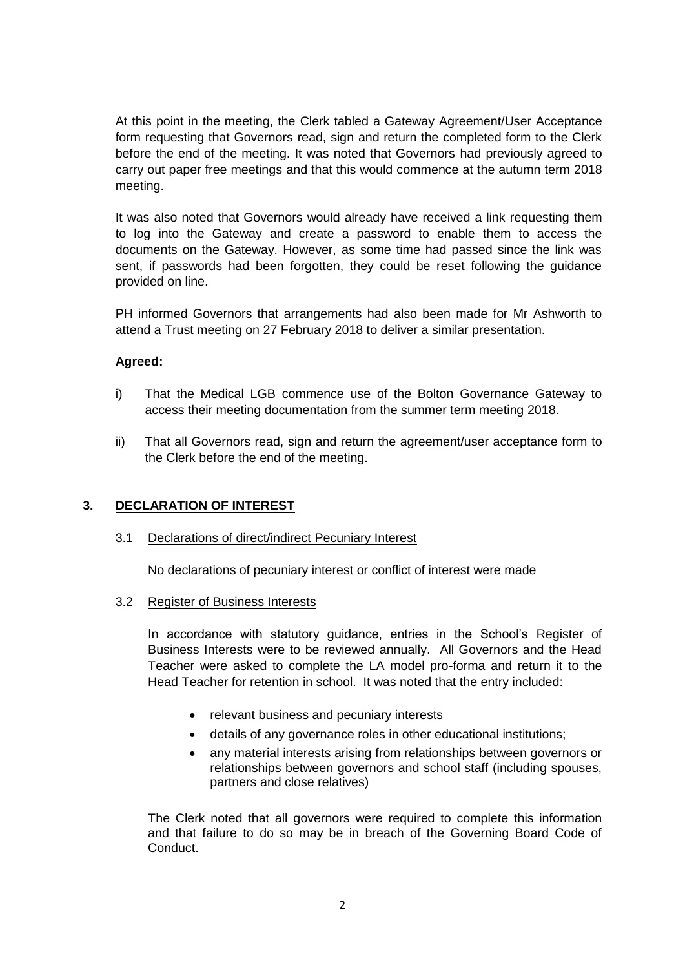At this point in the meeting, the Clerk tabled a Gateway Agreement/User Acceptance form requesting that Governors read, sign and return the completed form to the Clerk before the end of the meeting. It was noted that Governors had previously agreed to carry out paper free meetings and that this would commence at the autumn term 2018 meeting.

It was also noted that Governors would already have received a link requesting them to log into the Gateway and create a password to enable them to access the documents on the Gateway. However, as some time had passed since the link was sent, if passwords had been forgotten, they could be reset following the guidance provided on line.

PH informed Governors that arrangements had also been made for Mr Ashworth to attend a Trust meeting on 27 February 2018 to deliver a similar presentation.

# **Agreed:**

- i) That the Medical LGB commence use of the Bolton Governance Gateway to access their meeting documentation from the summer term meeting 2018.
- ii) That all Governors read, sign and return the agreement/user acceptance form to the Clerk before the end of the meeting.

# **3. DECLARATION OF INTEREST**

### 3.1 Declarations of direct/indirect Pecuniary Interest

No declarations of pecuniary interest or conflict of interest were made

### 3.2 Register of Business Interests

In accordance with statutory guidance, entries in the School's Register of Business Interests were to be reviewed annually. All Governors and the Head Teacher were asked to complete the LA model pro-forma and return it to the Head Teacher for retention in school. It was noted that the entry included:

- relevant business and pecuniary interests
- details of any governance roles in other educational institutions;
- any material interests arising from relationships between governors or relationships between governors and school staff (including spouses, partners and close relatives)

The Clerk noted that all governors were required to complete this information and that failure to do so may be in breach of the Governing Board Code of Conduct.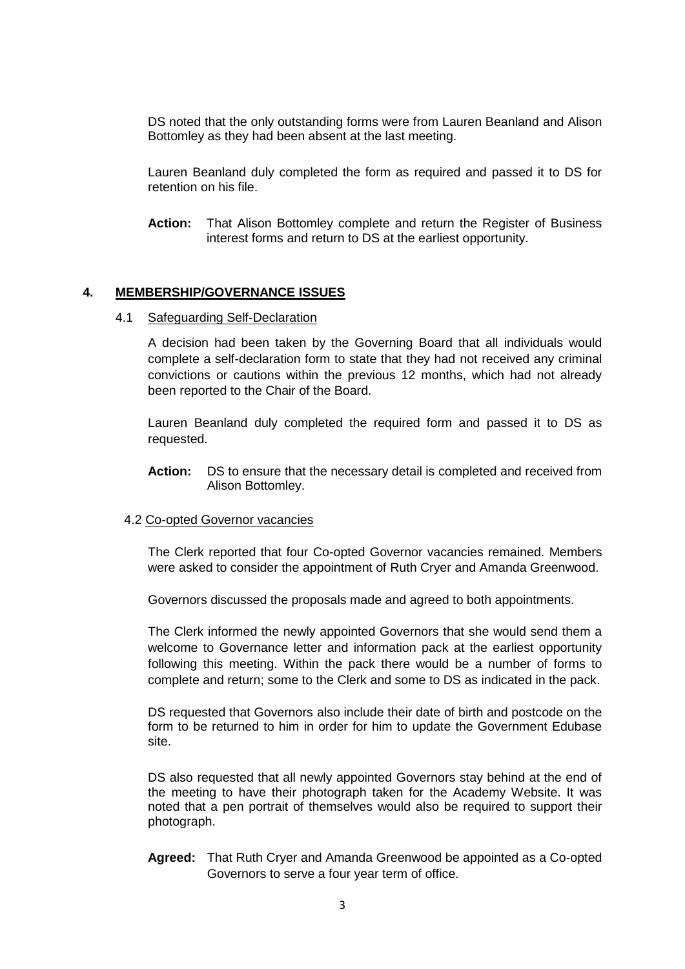DS noted that the only outstanding forms were from Lauren Beanland and Alison Bottomley as they had been absent at the last meeting.

Lauren Beanland duly completed the form as required and passed it to DS for retention on his file.

**Action:** That Alison Bottomley complete and return the Register of Business interest forms and return to DS at the earliest opportunity.

#### **4. MEMBERSHIP/GOVERNANCE ISSUES**

#### 4.1 Safeguarding Self-Declaration

A decision had been taken by the Governing Board that all individuals would complete a self-declaration form to state that they had not received any criminal convictions or cautions within the previous 12 months, which had not already been reported to the Chair of the Board.

Lauren Beanland duly completed the required form and passed it to DS as requested.

**Action:** DS to ensure that the necessary detail is completed and received from Alison Bottomley.

#### 4.2 Co-opted Governor vacancies

The Clerk reported that four Co-opted Governor vacancies remained. Members were asked to consider the appointment of Ruth Cryer and Amanda Greenwood.

Governors discussed the proposals made and agreed to both appointments.

The Clerk informed the newly appointed Governors that she would send them a welcome to Governance letter and information pack at the earliest opportunity following this meeting. Within the pack there would be a number of forms to complete and return; some to the Clerk and some to DS as indicated in the pack.

DS requested that Governors also include their date of birth and postcode on the form to be returned to him in order for him to update the Government Edubase site.

DS also requested that all newly appointed Governors stay behind at the end of the meeting to have their photograph taken for the Academy Website. It was noted that a pen portrait of themselves would also be required to support their photograph.

**Agreed:** That Ruth Cryer and Amanda Greenwood be appointed as a Co-opted Governors to serve a four year term of office.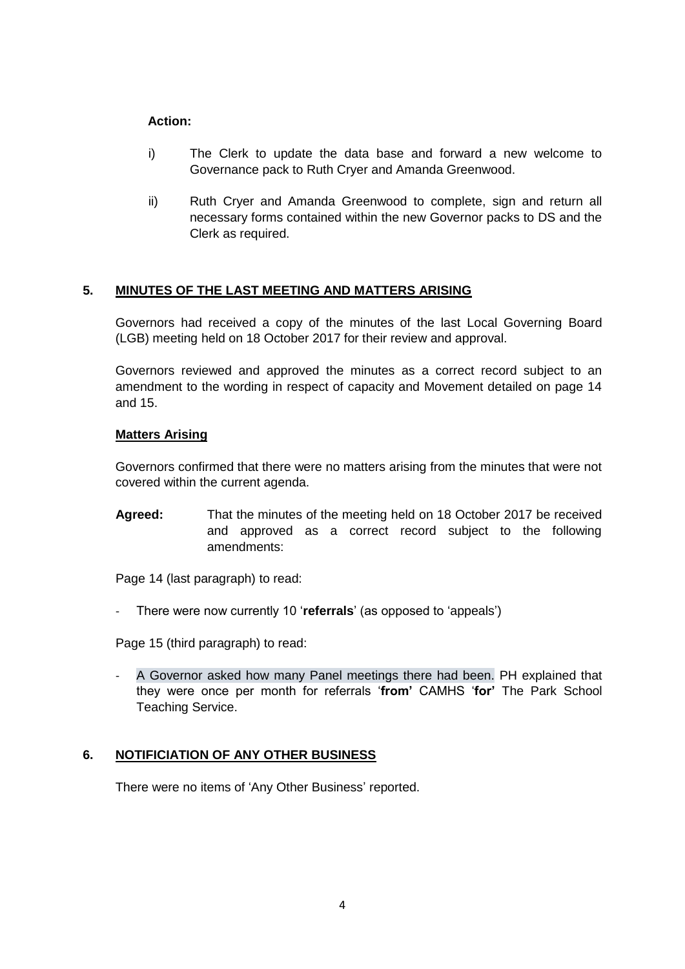# **Action:**

- i) The Clerk to update the data base and forward a new welcome to Governance pack to Ruth Cryer and Amanda Greenwood.
- ii) Ruth Cryer and Amanda Greenwood to complete, sign and return all necessary forms contained within the new Governor packs to DS and the Clerk as required.

# **5. MINUTES OF THE LAST MEETING AND MATTERS ARISING**

Governors had received a copy of the minutes of the last Local Governing Board (LGB) meeting held on 18 October 2017 for their review and approval.

Governors reviewed and approved the minutes as a correct record subject to an amendment to the wording in respect of capacity and Movement detailed on page 14 and 15.

### **Matters Arising**

Governors confirmed that there were no matters arising from the minutes that were not covered within the current agenda.

**Agreed:** That the minutes of the meeting held on 18 October 2017 be received and approved as a correct record subject to the following amendments:

Page 14 (last paragraph) to read:

- There were now currently 10 '**referrals**' (as opposed to 'appeals')

Page 15 (third paragraph) to read:

A Governor asked how many Panel meetings there had been. PH explained that they were once per month for referrals '**from'** CAMHS '**for'** The Park School Teaching Service.

### **6. NOTIFICIATION OF ANY OTHER BUSINESS**

There were no items of 'Any Other Business' reported.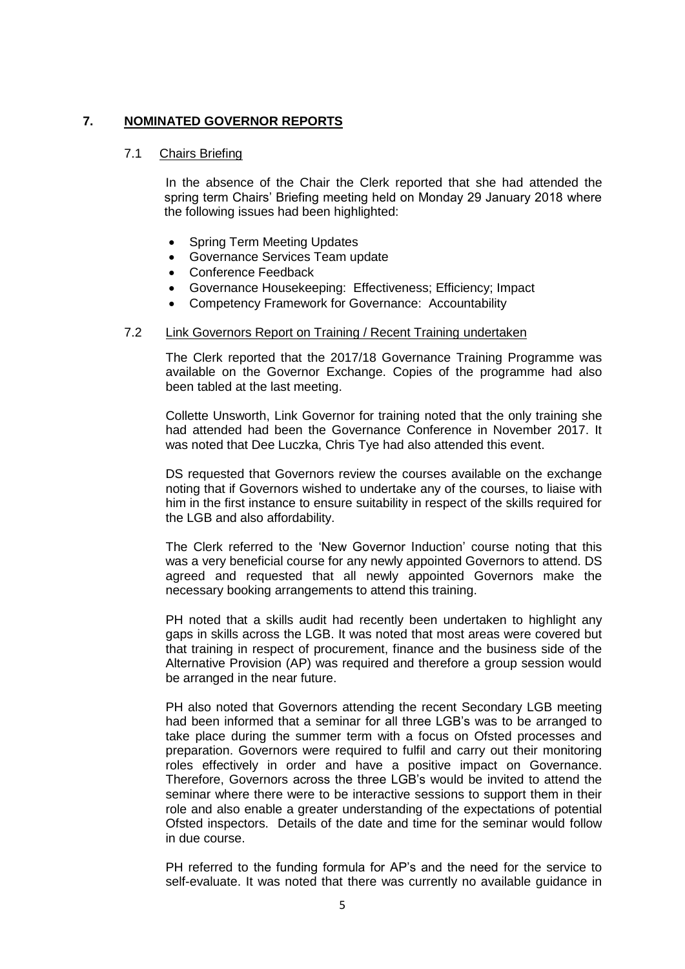### **7. NOMINATED GOVERNOR REPORTS**

#### 7.1 Chairs Briefing

In the absence of the Chair the Clerk reported that she had attended the spring term Chairs' Briefing meeting held on Monday 29 January 2018 where the following issues had been highlighted:

- Spring Term Meeting Updates
- Governance Services Team update
- Conference Feedback
- Governance Housekeeping: Effectiveness; Efficiency; Impact
- Competency Framework for Governance: Accountability

#### 7.2 Link Governors Report on Training / Recent Training undertaken

The Clerk reported that the 2017/18 Governance Training Programme was available on the Governor Exchange. Copies of the programme had also been tabled at the last meeting.

Collette Unsworth, Link Governor for training noted that the only training she had attended had been the Governance Conference in November 2017. It was noted that Dee Luczka, Chris Tye had also attended this event.

DS requested that Governors review the courses available on the exchange noting that if Governors wished to undertake any of the courses, to liaise with him in the first instance to ensure suitability in respect of the skills required for the LGB and also affordability.

The Clerk referred to the 'New Governor Induction' course noting that this was a very beneficial course for any newly appointed Governors to attend. DS agreed and requested that all newly appointed Governors make the necessary booking arrangements to attend this training.

PH noted that a skills audit had recently been undertaken to highlight any gaps in skills across the LGB. It was noted that most areas were covered but that training in respect of procurement, finance and the business side of the Alternative Provision (AP) was required and therefore a group session would be arranged in the near future.

PH also noted that Governors attending the recent Secondary LGB meeting had been informed that a seminar for all three LGB's was to be arranged to take place during the summer term with a focus on Ofsted processes and preparation. Governors were required to fulfil and carry out their monitoring roles effectively in order and have a positive impact on Governance. Therefore, Governors across the three LGB's would be invited to attend the seminar where there were to be interactive sessions to support them in their role and also enable a greater understanding of the expectations of potential Ofsted inspectors. Details of the date and time for the seminar would follow in due course.

PH referred to the funding formula for AP's and the need for the service to self-evaluate. It was noted that there was currently no available guidance in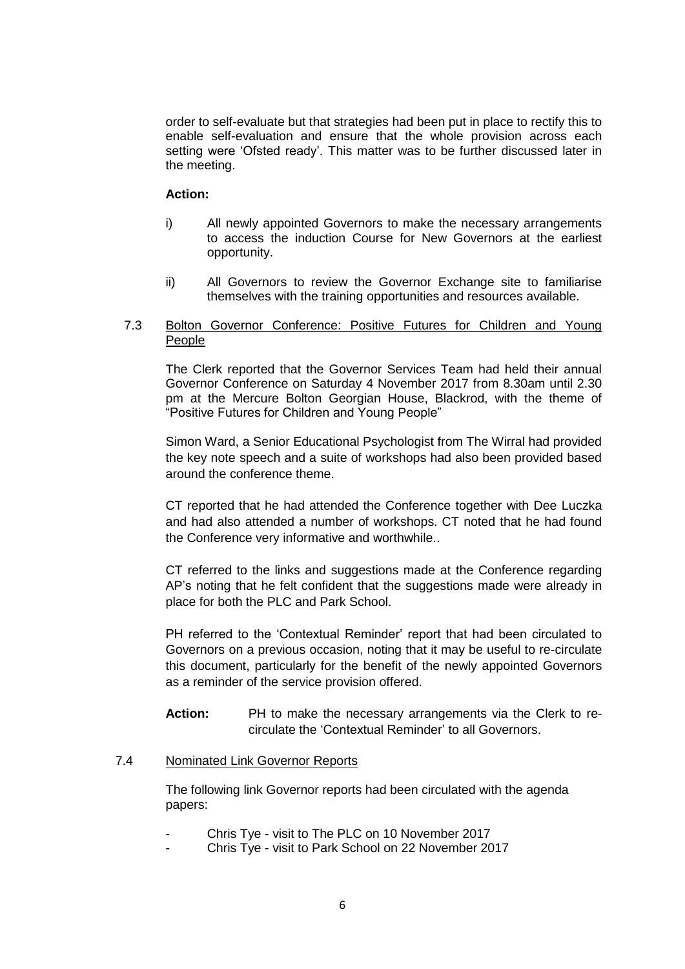order to self-evaluate but that strategies had been put in place to rectify this to enable self-evaluation and ensure that the whole provision across each setting were 'Ofsted ready'. This matter was to be further discussed later in the meeting.

#### **Action:**

- i) All newly appointed Governors to make the necessary arrangements to access the induction Course for New Governors at the earliest opportunity.
- ii) All Governors to review the Governor Exchange site to familiarise themselves with the training opportunities and resources available.

#### 7.3 Bolton Governor Conference: Positive Futures for Children and Young People

The Clerk reported that the Governor Services Team had held their annual Governor Conference on Saturday 4 November 2017 from 8.30am until 2.30 pm at the Mercure Bolton Georgian House, Blackrod, with the theme of "Positive Futures for Children and Young People"

Simon Ward, a Senior Educational Psychologist from The Wirral had provided the key note speech and a suite of workshops had also been provided based around the conference theme.

CT reported that he had attended the Conference together with Dee Luczka and had also attended a number of workshops. CT noted that he had found the Conference very informative and worthwhile..

CT referred to the links and suggestions made at the Conference regarding AP's noting that he felt confident that the suggestions made were already in place for both the PLC and Park School.

PH referred to the 'Contextual Reminder' report that had been circulated to Governors on a previous occasion, noting that it may be useful to re-circulate this document, particularly for the benefit of the newly appointed Governors as a reminder of the service provision offered.

**Action:** PH to make the necessary arrangements via the Clerk to recirculate the 'Contextual Reminder' to all Governors.

### 7.4 Nominated Link Governor Reports

The following link Governor reports had been circulated with the agenda papers:

- Chris Tye visit to The PLC on 10 November 2017
- Chris Tye visit to Park School on 22 November 2017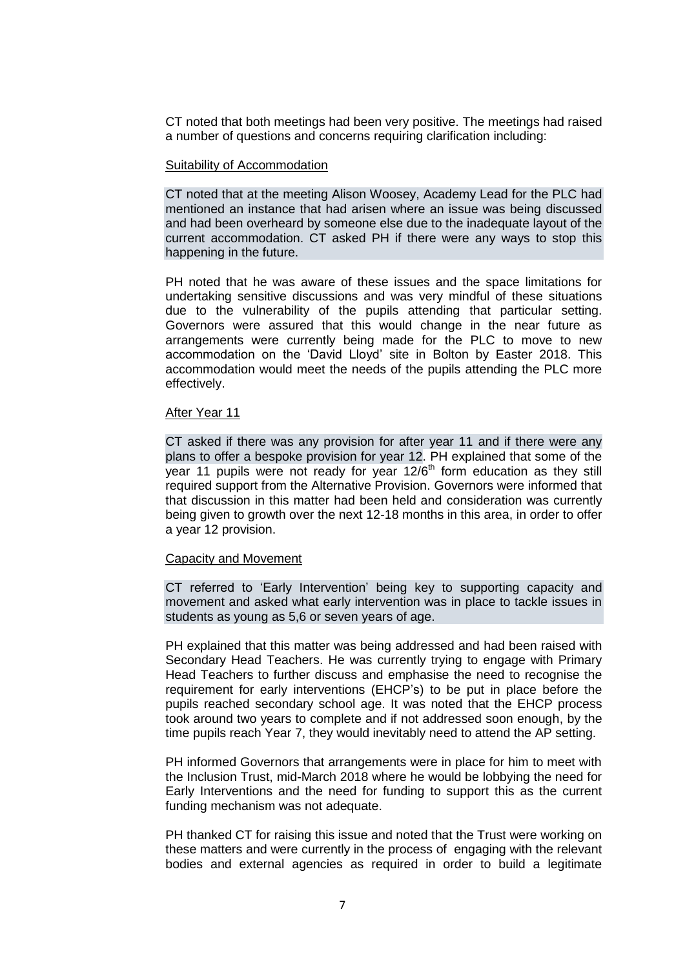CT noted that both meetings had been very positive. The meetings had raised a number of questions and concerns requiring clarification including:

#### Suitability of Accommodation

CT noted that at the meeting Alison Woosey, Academy Lead for the PLC had mentioned an instance that had arisen where an issue was being discussed and had been overheard by someone else due to the inadequate layout of the current accommodation. CT asked PH if there were any ways to stop this happening in the future.

PH noted that he was aware of these issues and the space limitations for undertaking sensitive discussions and was very mindful of these situations due to the vulnerability of the pupils attending that particular setting. Governors were assured that this would change in the near future as arrangements were currently being made for the PLC to move to new accommodation on the 'David Lloyd' site in Bolton by Easter 2018. This accommodation would meet the needs of the pupils attending the PLC more effectively.

#### After Year 11

CT asked if there was any provision for after year 11 and if there were any plans to offer a bespoke provision for year 12. PH explained that some of the year 11 pupils were not ready for year 12/6<sup>th</sup> form education as they still required support from the Alternative Provision. Governors were informed that that discussion in this matter had been held and consideration was currently being given to growth over the next 12-18 months in this area, in order to offer a year 12 provision.

#### Capacity and Movement

CT referred to 'Early Intervention' being key to supporting capacity and movement and asked what early intervention was in place to tackle issues in students as young as 5,6 or seven years of age.

PH explained that this matter was being addressed and had been raised with Secondary Head Teachers. He was currently trying to engage with Primary Head Teachers to further discuss and emphasise the need to recognise the requirement for early interventions (EHCP's) to be put in place before the pupils reached secondary school age. It was noted that the EHCP process took around two years to complete and if not addressed soon enough, by the time pupils reach Year 7, they would inevitably need to attend the AP setting.

PH informed Governors that arrangements were in place for him to meet with the Inclusion Trust, mid-March 2018 where he would be lobbying the need for Early Interventions and the need for funding to support this as the current funding mechanism was not adequate.

PH thanked CT for raising this issue and noted that the Trust were working on these matters and were currently in the process of engaging with the relevant bodies and external agencies as required in order to build a legitimate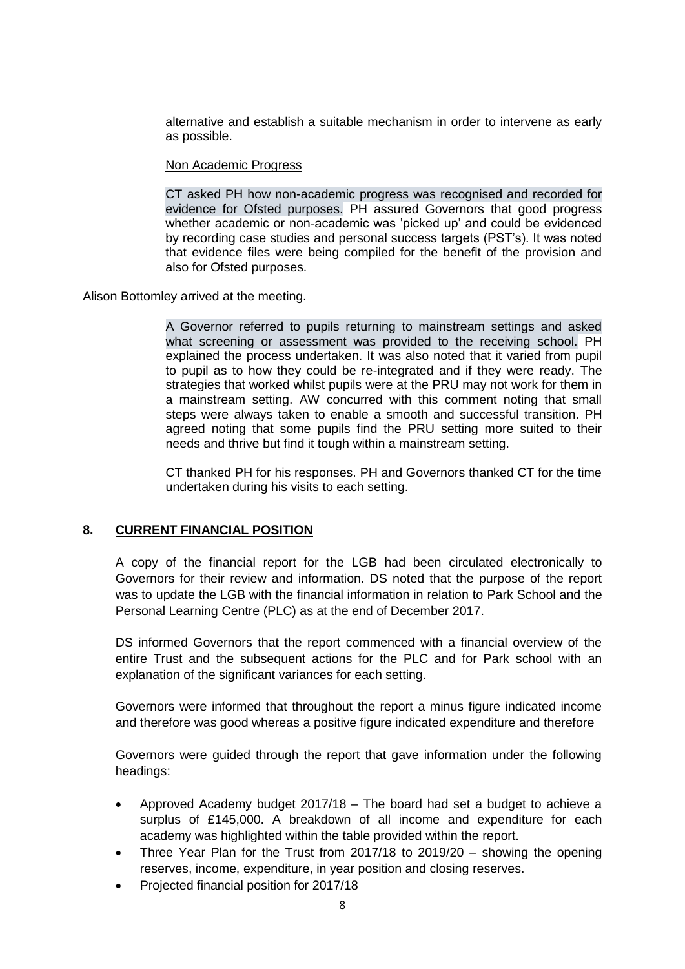alternative and establish a suitable mechanism in order to intervene as early as possible.

#### Non Academic Progress

CT asked PH how non-academic progress was recognised and recorded for evidence for Ofsted purposes. PH assured Governors that good progress whether academic or non-academic was 'picked up' and could be evidenced by recording case studies and personal success targets (PST's). It was noted that evidence files were being compiled for the benefit of the provision and also for Ofsted purposes.

Alison Bottomley arrived at the meeting.

A Governor referred to pupils returning to mainstream settings and asked what screening or assessment was provided to the receiving school. PH explained the process undertaken. It was also noted that it varied from pupil to pupil as to how they could be re-integrated and if they were ready. The strategies that worked whilst pupils were at the PRU may not work for them in a mainstream setting. AW concurred with this comment noting that small steps were always taken to enable a smooth and successful transition. PH agreed noting that some pupils find the PRU setting more suited to their needs and thrive but find it tough within a mainstream setting.

CT thanked PH for his responses. PH and Governors thanked CT for the time undertaken during his visits to each setting.

### **8. CURRENT FINANCIAL POSITION**

A copy of the financial report for the LGB had been circulated electronically to Governors for their review and information. DS noted that the purpose of the report was to update the LGB with the financial information in relation to Park School and the Personal Learning Centre (PLC) as at the end of December 2017.

DS informed Governors that the report commenced with a financial overview of the entire Trust and the subsequent actions for the PLC and for Park school with an explanation of the significant variances for each setting.

Governors were informed that throughout the report a minus figure indicated income and therefore was good whereas a positive figure indicated expenditure and therefore

Governors were guided through the report that gave information under the following headings:

- Approved Academy budget 2017/18 The board had set a budget to achieve a surplus of £145,000. A breakdown of all income and expenditure for each academy was highlighted within the table provided within the report.
- Three Year Plan for the Trust from 2017/18 to 2019/20 showing the opening reserves, income, expenditure, in year position and closing reserves.
- Projected financial position for 2017/18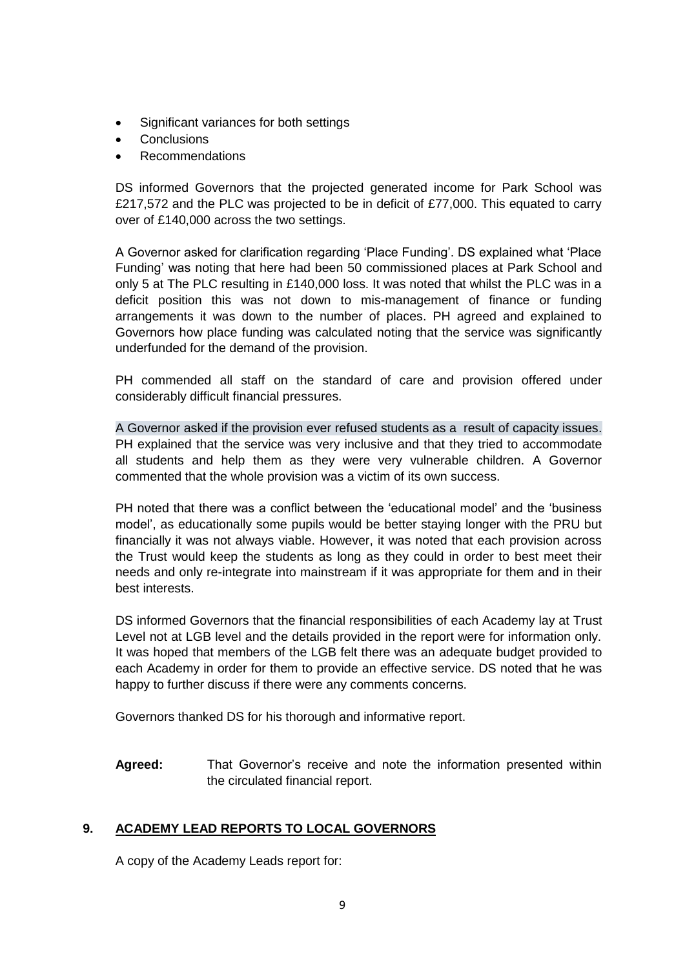- Significant variances for both settings
- **Conclusions**
- Recommendations

DS informed Governors that the projected generated income for Park School was £217,572 and the PLC was projected to be in deficit of £77,000. This equated to carry over of £140,000 across the two settings.

A Governor asked for clarification regarding 'Place Funding'. DS explained what 'Place Funding' was noting that here had been 50 commissioned places at Park School and only 5 at The PLC resulting in £140,000 loss. It was noted that whilst the PLC was in a deficit position this was not down to mis-management of finance or funding arrangements it was down to the number of places. PH agreed and explained to Governors how place funding was calculated noting that the service was significantly underfunded for the demand of the provision.

PH commended all staff on the standard of care and provision offered under considerably difficult financial pressures.

A Governor asked if the provision ever refused students as a result of capacity issues. PH explained that the service was very inclusive and that they tried to accommodate all students and help them as they were very vulnerable children. A Governor commented that the whole provision was a victim of its own success.

PH noted that there was a conflict between the 'educational model' and the 'business model', as educationally some pupils would be better staying longer with the PRU but financially it was not always viable. However, it was noted that each provision across the Trust would keep the students as long as they could in order to best meet their needs and only re-integrate into mainstream if it was appropriate for them and in their best interests.

DS informed Governors that the financial responsibilities of each Academy lay at Trust Level not at LGB level and the details provided in the report were for information only. It was hoped that members of the LGB felt there was an adequate budget provided to each Academy in order for them to provide an effective service. DS noted that he was happy to further discuss if there were any comments concerns.

Governors thanked DS for his thorough and informative report.

**Agreed:** That Governor's receive and note the information presented within the circulated financial report.

# **9. ACADEMY LEAD REPORTS TO LOCAL GOVERNORS**

A copy of the Academy Leads report for: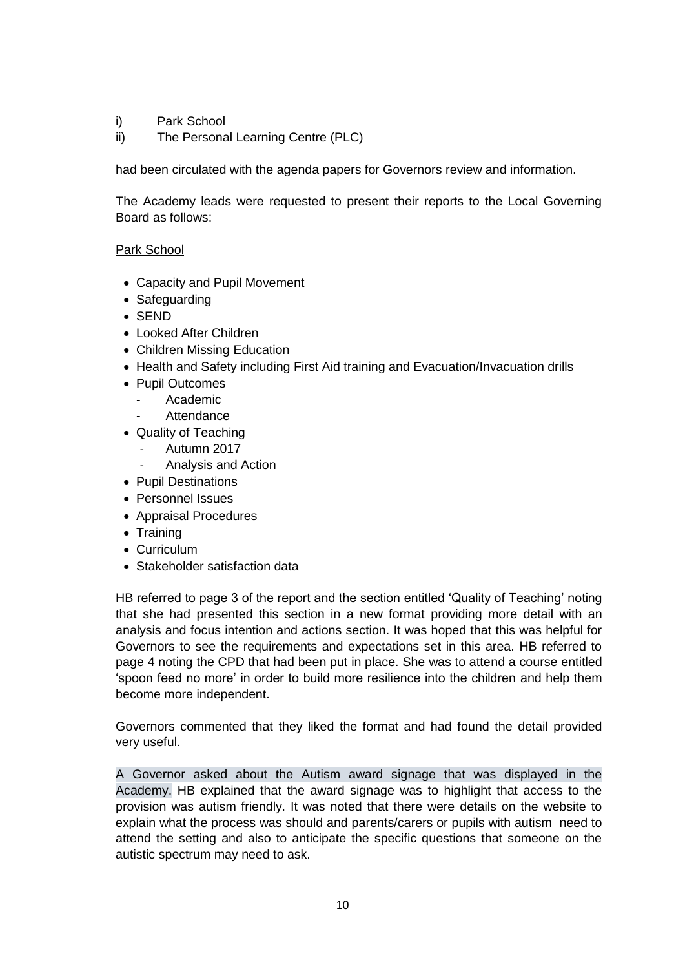- i) Park School
- ii) The Personal Learning Centre (PLC)

had been circulated with the agenda papers for Governors review and information.

The Academy leads were requested to present their reports to the Local Governing Board as follows:

## Park School

- Capacity and Pupil Movement
- Safeguarding
- SEND
- Looked After Children
- Children Missing Education
- Health and Safety including First Aid training and Evacuation/Invacuation drills
- Pupil Outcomes
- Academic
	- **Attendance**
- Quality of Teaching
	- Autumn 2017
	- Analysis and Action
- Pupil Destinations
- Personnel Issues
- Appraisal Procedures
- Training
- Curriculum
- Stakeholder satisfaction data

HB referred to page 3 of the report and the section entitled 'Quality of Teaching' noting that she had presented this section in a new format providing more detail with an analysis and focus intention and actions section. It was hoped that this was helpful for Governors to see the requirements and expectations set in this area. HB referred to page 4 noting the CPD that had been put in place. She was to attend a course entitled 'spoon feed no more' in order to build more resilience into the children and help them become more independent.

Governors commented that they liked the format and had found the detail provided very useful.

A Governor asked about the Autism award signage that was displayed in the Academy. HB explained that the award signage was to highlight that access to the provision was autism friendly. It was noted that there were details on the website to explain what the process was should and parents/carers or pupils with autism need to attend the setting and also to anticipate the specific questions that someone on the autistic spectrum may need to ask.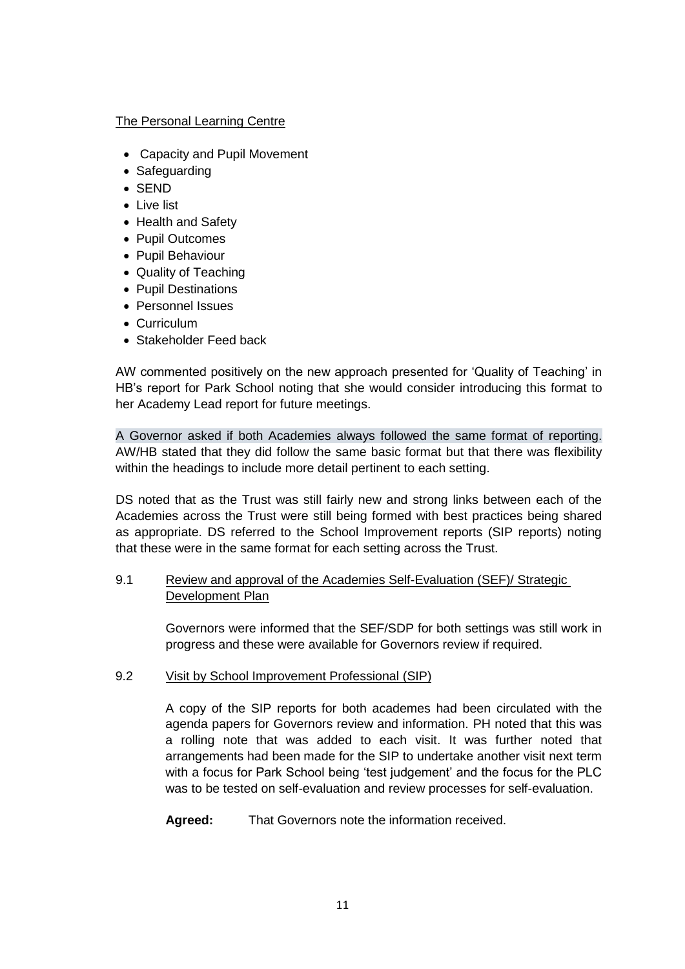### The Personal Learning Centre

- Capacity and Pupil Movement
- Safeguarding
- SEND
- Live list
- Health and Safety
- Pupil Outcomes
- Pupil Behaviour
- Quality of Teaching
- Pupil Destinations
- Personnel Issues
- Curriculum
- Stakeholder Feed back

AW commented positively on the new approach presented for 'Quality of Teaching' in HB's report for Park School noting that she would consider introducing this format to her Academy Lead report for future meetings.

A Governor asked if both Academies always followed the same format of reporting. AW/HB stated that they did follow the same basic format but that there was flexibility within the headings to include more detail pertinent to each setting.

DS noted that as the Trust was still fairly new and strong links between each of the Academies across the Trust were still being formed with best practices being shared as appropriate. DS referred to the School Improvement reports (SIP reports) noting that these were in the same format for each setting across the Trust.

# 9.1 Review and approval of the Academies Self-Evaluation (SEF)/ Strategic Development Plan

Governors were informed that the SEF/SDP for both settings was still work in progress and these were available for Governors review if required.

### 9.2 Visit by School Improvement Professional (SIP)

A copy of the SIP reports for both academes had been circulated with the agenda papers for Governors review and information. PH noted that this was a rolling note that was added to each visit. It was further noted that arrangements had been made for the SIP to undertake another visit next term with a focus for Park School being 'test judgement' and the focus for the PLC was to be tested on self-evaluation and review processes for self-evaluation.

**Agreed:** That Governors note the information received.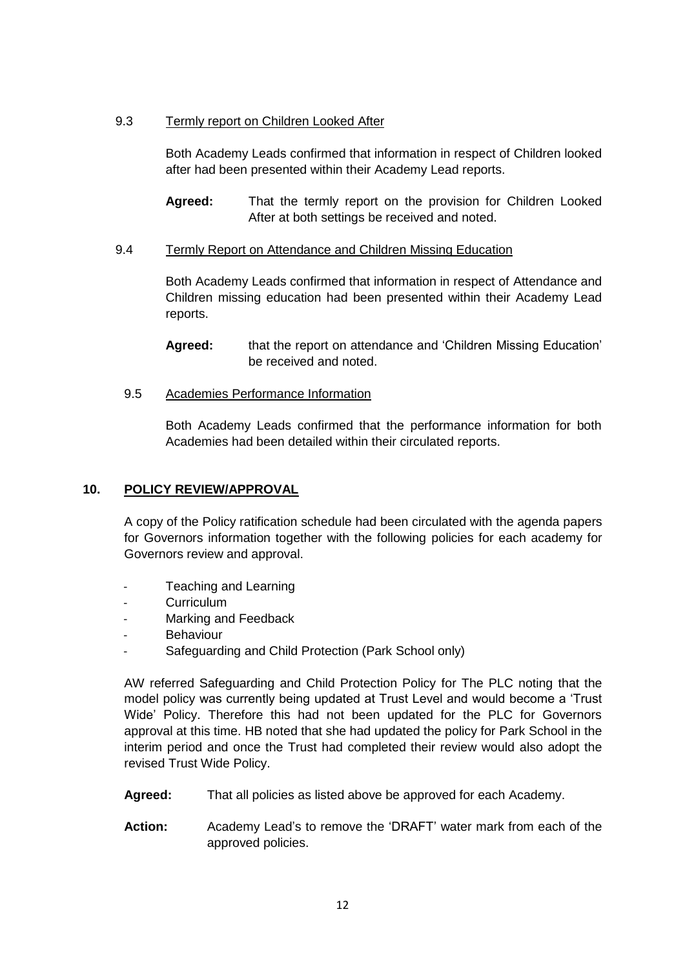# 9.3 Termly report on Children Looked After

Both Academy Leads confirmed that information in respect of Children looked after had been presented within their Academy Lead reports.

**Agreed:** That the termly report on the provision for Children Looked After at both settings be received and noted.

### 9.4 Termly Report on Attendance and Children Missing Education

Both Academy Leads confirmed that information in respect of Attendance and Children missing education had been presented within their Academy Lead reports.

**Agreed:** that the report on attendance and 'Children Missing Education' be received and noted.

9.5 Academies Performance Information

Both Academy Leads confirmed that the performance information for both Academies had been detailed within their circulated reports.

# **10. POLICY REVIEW/APPROVAL**

A copy of the Policy ratification schedule had been circulated with the agenda papers for Governors information together with the following policies for each academy for Governors review and approval.

- Teaching and Learning
- Curriculum
- Marking and Feedback
- **Behaviour**
- Safeguarding and Child Protection (Park School only)

AW referred Safeguarding and Child Protection Policy for The PLC noting that the model policy was currently being updated at Trust Level and would become a 'Trust Wide' Policy. Therefore this had not been updated for the PLC for Governors approval at this time. HB noted that she had updated the policy for Park School in the interim period and once the Trust had completed their review would also adopt the revised Trust Wide Policy.

- **Agreed:** That all policies as listed above be approved for each Academy.
- **Action:** Academy Lead's to remove the 'DRAFT' water mark from each of the approved policies.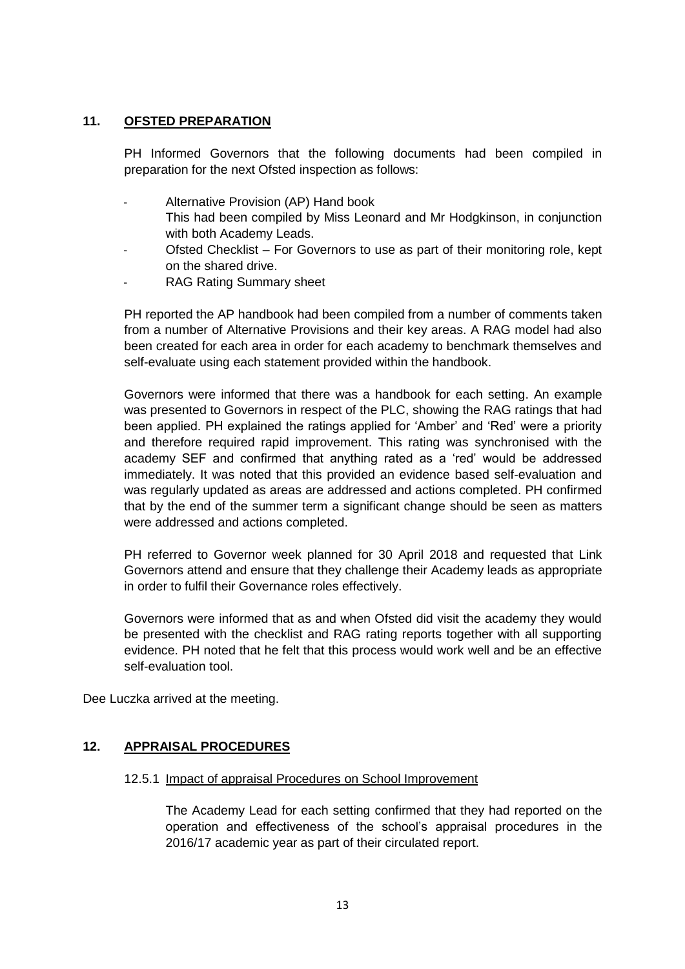## **11. OFSTED PREPARATION**

PH Informed Governors that the following documents had been compiled in preparation for the next Ofsted inspection as follows:

- Alternative Provision (AP) Hand book
	- This had been compiled by Miss Leonard and Mr Hodgkinson, in conjunction with both Academy Leads.
- Ofsted Checklist For Governors to use as part of their monitoring role, kept on the shared drive.
- RAG Rating Summary sheet

PH reported the AP handbook had been compiled from a number of comments taken from a number of Alternative Provisions and their key areas. A RAG model had also been created for each area in order for each academy to benchmark themselves and self-evaluate using each statement provided within the handbook.

Governors were informed that there was a handbook for each setting. An example was presented to Governors in respect of the PLC, showing the RAG ratings that had been applied. PH explained the ratings applied for 'Amber' and 'Red' were a priority and therefore required rapid improvement. This rating was synchronised with the academy SEF and confirmed that anything rated as a 'red' would be addressed immediately. It was noted that this provided an evidence based self-evaluation and was regularly updated as areas are addressed and actions completed. PH confirmed that by the end of the summer term a significant change should be seen as matters were addressed and actions completed.

PH referred to Governor week planned for 30 April 2018 and requested that Link Governors attend and ensure that they challenge their Academy leads as appropriate in order to fulfil their Governance roles effectively.

Governors were informed that as and when Ofsted did visit the academy they would be presented with the checklist and RAG rating reports together with all supporting evidence. PH noted that he felt that this process would work well and be an effective self-evaluation tool.

Dee Luczka arrived at the meeting.

### **12. APPRAISAL PROCEDURES**

#### 12.5.1 Impact of appraisal Procedures on School Improvement

The Academy Lead for each setting confirmed that they had reported on the operation and effectiveness of the school's appraisal procedures in the 2016/17 academic year as part of their circulated report.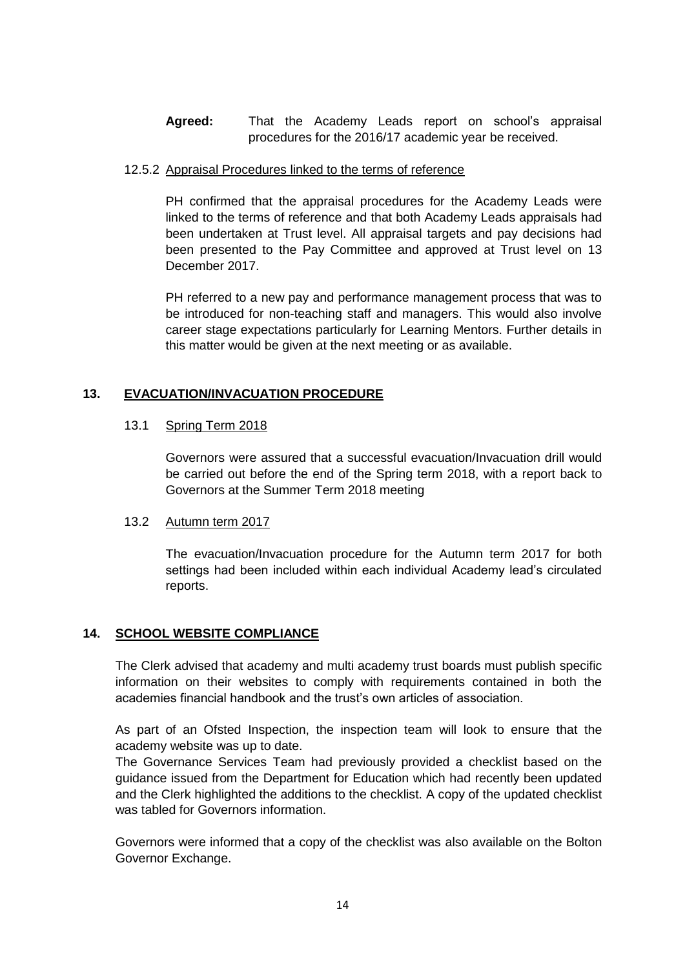**Agreed:** That the Academy Leads report on school's appraisal procedures for the 2016/17 academic year be received.

#### 12.5.2 Appraisal Procedures linked to the terms of reference

PH confirmed that the appraisal procedures for the Academy Leads were linked to the terms of reference and that both Academy Leads appraisals had been undertaken at Trust level. All appraisal targets and pay decisions had been presented to the Pay Committee and approved at Trust level on 13 December 2017.

PH referred to a new pay and performance management process that was to be introduced for non-teaching staff and managers. This would also involve career stage expectations particularly for Learning Mentors. Further details in this matter would be given at the next meeting or as available.

# **13. EVACUATION/INVACUATION PROCEDURE**

### 13.1 Spring Term 2018

Governors were assured that a successful evacuation/Invacuation drill would be carried out before the end of the Spring term 2018, with a report back to Governors at the Summer Term 2018 meeting

### 13.2 Autumn term 2017

The evacuation/Invacuation procedure for the Autumn term 2017 for both settings had been included within each individual Academy lead's circulated reports.

### **14. SCHOOL WEBSITE COMPLIANCE**

The Clerk advised that academy and multi academy trust boards must publish specific information on their websites to comply with requirements contained in both the academies financial handbook and the trust's own articles of association.

As part of an Ofsted Inspection, the inspection team will look to ensure that the academy website was up to date.

The Governance Services Team had previously provided a checklist based on the guidance issued from the Department for Education which had recently been updated and the Clerk highlighted the additions to the checklist. A copy of the updated checklist was tabled for Governors information.

Governors were informed that a copy of the checklist was also available on the Bolton Governor Exchange.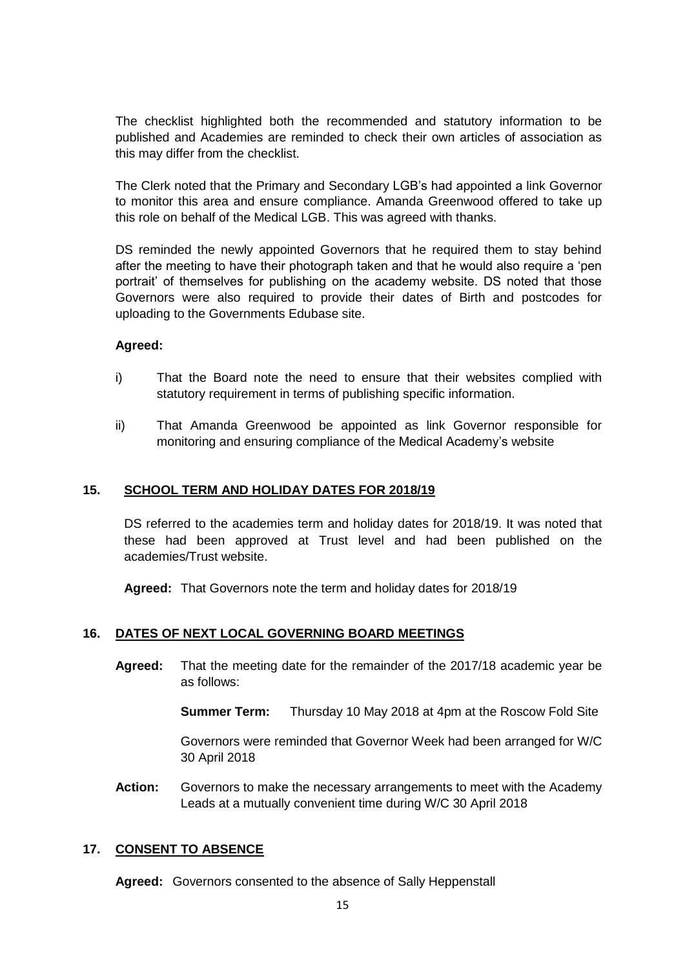The checklist highlighted both the recommended and statutory information to be published and Academies are reminded to check their own articles of association as this may differ from the checklist.

The Clerk noted that the Primary and Secondary LGB's had appointed a link Governor to monitor this area and ensure compliance. Amanda Greenwood offered to take up this role on behalf of the Medical LGB. This was agreed with thanks.

DS reminded the newly appointed Governors that he required them to stay behind after the meeting to have their photograph taken and that he would also require a 'pen portrait' of themselves for publishing on the academy website. DS noted that those Governors were also required to provide their dates of Birth and postcodes for uploading to the Governments Edubase site.

### **Agreed:**

- i) That the Board note the need to ensure that their websites complied with statutory requirement in terms of publishing specific information.
- ii) That Amanda Greenwood be appointed as link Governor responsible for monitoring and ensuring compliance of the Medical Academy's website

### **15. SCHOOL TERM AND HOLIDAY DATES FOR 2018/19**

DS referred to the academies term and holiday dates for 2018/19. It was noted that these had been approved at Trust level and had been published on the academies/Trust website.

**Agreed:** That Governors note the term and holiday dates for 2018/19

### **16. DATES OF NEXT LOCAL GOVERNING BOARD MEETINGS**

**Agreed:** That the meeting date for the remainder of the 2017/18 academic year be as follows:

**Summer Term:** Thursday 10 May 2018 at 4pm at the Roscow Fold Site

Governors were reminded that Governor Week had been arranged for W/C 30 April 2018

**Action:** Governors to make the necessary arrangements to meet with the Academy Leads at a mutually convenient time during W/C 30 April 2018

#### **17. CONSENT TO ABSENCE**

**Agreed:** Governors consented to the absence of Sally Heppenstall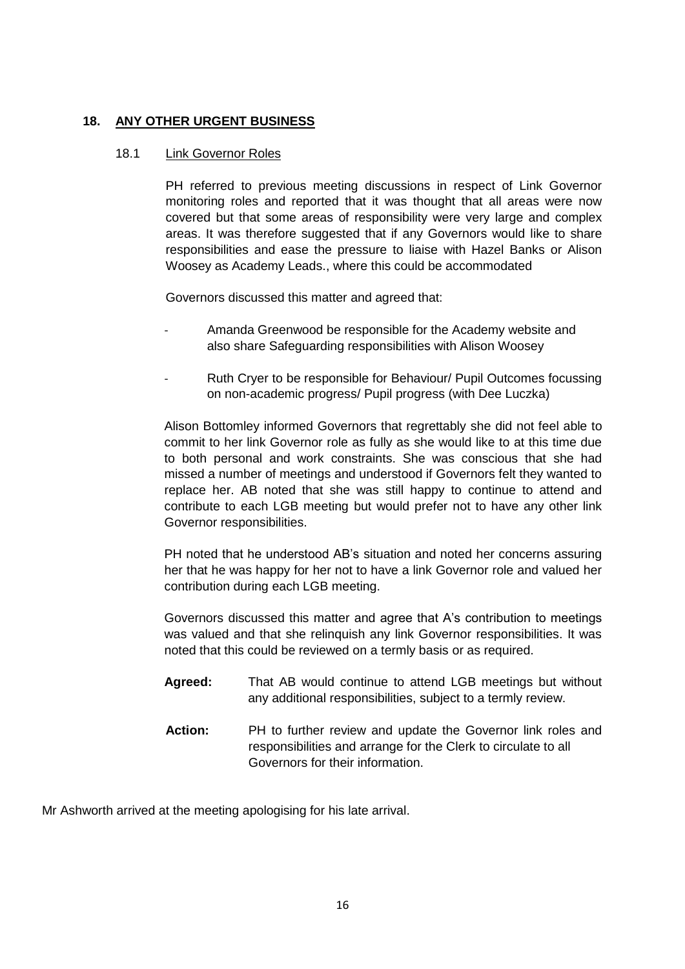# **18. ANY OTHER URGENT BUSINESS**

#### 18.1 Link Governor Roles

PH referred to previous meeting discussions in respect of Link Governor monitoring roles and reported that it was thought that all areas were now covered but that some areas of responsibility were very large and complex areas. It was therefore suggested that if any Governors would like to share responsibilities and ease the pressure to liaise with Hazel Banks or Alison Woosey as Academy Leads., where this could be accommodated

Governors discussed this matter and agreed that:

- Amanda Greenwood be responsible for the Academy website and also share Safeguarding responsibilities with Alison Woosey
- Ruth Cryer to be responsible for Behaviour/ Pupil Outcomes focussing on non-academic progress/ Pupil progress (with Dee Luczka)

Alison Bottomley informed Governors that regrettably she did not feel able to commit to her link Governor role as fully as she would like to at this time due to both personal and work constraints. She was conscious that she had missed a number of meetings and understood if Governors felt they wanted to replace her. AB noted that she was still happy to continue to attend and contribute to each LGB meeting but would prefer not to have any other link Governor responsibilities.

PH noted that he understood AB's situation and noted her concerns assuring her that he was happy for her not to have a link Governor role and valued her contribution during each LGB meeting.

Governors discussed this matter and agree that A's contribution to meetings was valued and that she relinquish any link Governor responsibilities. It was noted that this could be reviewed on a termly basis or as required.

- **Agreed:** That AB would continue to attend LGB meetings but without any additional responsibilities, subject to a termly review.
- **Action:** PH to further review and update the Governor link roles and responsibilities and arrange for the Clerk to circulate to all Governors for their information.

Mr Ashworth arrived at the meeting apologising for his late arrival.